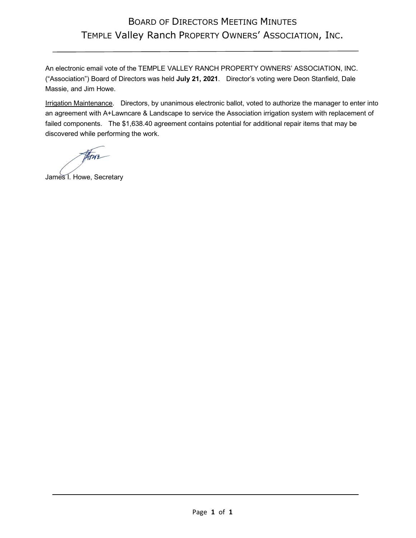## BOARD OF DIRECTORS MEETING MINUTES TEMPLE Valley Ranch PROPERTY OWNERS' ASSOCIATION, INC.

An electronic email vote of the TEMPLE VALLEY RANCH PROPERTY OWNERS' ASSOCIATION, INC. ("Association") Board of Directors was held **July 21, 2021**. Director's voting were Deon Stanfield, Dale Massie, and Jim Howe.

Irrigation Maintenance. Directors, by unanimous electronic ballot, voted to authorize the manager to enter into an agreement with A+Lawncare & Landscape to service the Association irrigation system with replacement of failed components. The \$1,638.40 agreement contains potential for additional repair items that may be discovered while performing the work.

there-

James I. Howe, Secretary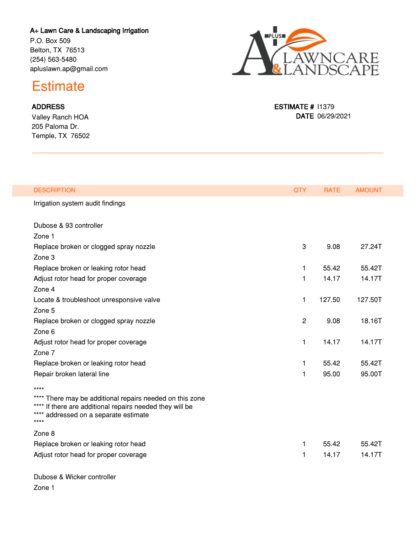## **A+ Lawn Care & Landscaping Irrigation**

P.O. Box 509 Belton, TX 76513 (254) 563-5480 apluslawn.ap@gmail.com



**ESTIMATE #** I1379

**DATE** 06/29/2021

## **Estimate**

## **ADDRESS**

Valley Ranch HOA 205 Paloma Dr. Temple, TX 76502

| <b>DESCRIPTION</b>                                                                                                                                                    | <b>QTY</b>     | <b>RATE</b> | <b>AMOUNT</b> |  |
|-----------------------------------------------------------------------------------------------------------------------------------------------------------------------|----------------|-------------|---------------|--|
| Irrigation system audit findings                                                                                                                                      |                |             |               |  |
| Dubose & 93 controller                                                                                                                                                |                |             |               |  |
| Zone 1                                                                                                                                                                |                |             |               |  |
| Replace broken or clogged spray nozzle                                                                                                                                | 3              | 9.08        | 27.24T        |  |
| Zone 3                                                                                                                                                                |                |             |               |  |
| Replace broken or leaking rotor head                                                                                                                                  | 1              | 55.42       | 55.42T        |  |
| Adjust rotor head for proper coverage                                                                                                                                 | 1              | 14.17       | 14.17T        |  |
| Zone 4                                                                                                                                                                |                |             |               |  |
| Locate & troubleshoot unresponsive valve                                                                                                                              | 1              | 127.50      | 127.50T       |  |
| Zone 5                                                                                                                                                                |                |             |               |  |
| Replace broken or clogged spray nozzle                                                                                                                                | $\overline{c}$ | 9.08        | 18.16T        |  |
| Zone 6                                                                                                                                                                |                |             |               |  |
| Adjust rotor head for proper coverage                                                                                                                                 | 1              | 14.17       | 14.17T        |  |
| Zone 7                                                                                                                                                                |                |             |               |  |
| Replace broken or leaking rotor head                                                                                                                                  | 1              | 55.42       | 55.42T        |  |
| Repair broken lateral line                                                                                                                                            | 1              | 95.00       | 95.00T        |  |
| ****                                                                                                                                                                  |                |             |               |  |
| **** There may be additional repairs needed on this zone<br>**** If there are additional repairs needed they will be<br>**** addressed on a separate estimate<br>**** |                |             |               |  |
| Zone 8                                                                                                                                                                |                |             |               |  |
| Replace broken or leaking rotor head                                                                                                                                  | 1              | 55.42       | 55.42T        |  |
| Adjust rotor head for proper coverage                                                                                                                                 | 1              | 14.17       | 14.17T        |  |
|                                                                                                                                                                       |                |             |               |  |

Dubose & Wicker controller

Zone 1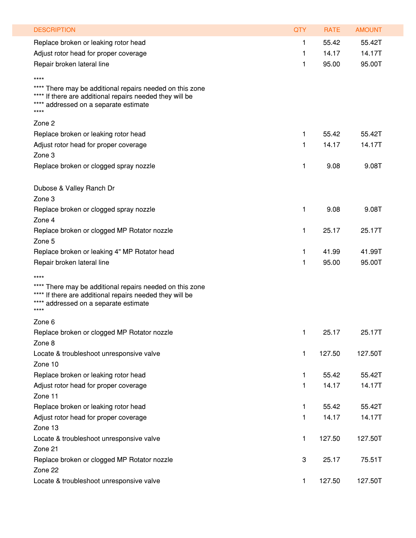| <b>DESCRIPTION</b>                                                                                                                                                   | <b>QTY</b> | <b>RATE</b> | <b>AMOUNT</b> |
|----------------------------------------------------------------------------------------------------------------------------------------------------------------------|------------|-------------|---------------|
|                                                                                                                                                                      |            |             |               |
| Replace broken or leaking rotor head                                                                                                                                 | 1          | 55.42       | 55.42T        |
| Adjust rotor head for proper coverage                                                                                                                                | 1          | 14.17       | 14.17T        |
| Repair broken lateral line                                                                                                                                           | 1          | 95.00       | 95.00T        |
| $***$                                                                                                                                                                |            |             |               |
| There may be additional repairs needed on this zone<br>If there are additional repairs needed they will be<br>addressed on a separate estimate<br>$***$<br>****      |            |             |               |
| Zone 2                                                                                                                                                               |            |             |               |
| Replace broken or leaking rotor head                                                                                                                                 | 1          | 55.42       | 55.42T        |
| Adjust rotor head for proper coverage                                                                                                                                | 1          | 14.17       | 14.17T        |
| Zone 3                                                                                                                                                               |            |             |               |
| Replace broken or clogged spray nozzle                                                                                                                               | 1          | 9.08        | 9.08T         |
| Dubose & Valley Ranch Dr                                                                                                                                             |            |             |               |
| Zone 3                                                                                                                                                               |            |             |               |
| Replace broken or clogged spray nozzle                                                                                                                               | 1          | 9.08        | 9.08T         |
| Zone 4                                                                                                                                                               |            |             |               |
| Replace broken or clogged MP Rotator nozzle                                                                                                                          | 1          | 25.17       | 25.17T        |
| Zone 5                                                                                                                                                               |            |             |               |
| Replace broken or leaking 4" MP Rotator head                                                                                                                         | 1          | 41.99       | 41.99T        |
| Repair broken lateral line                                                                                                                                           | 1          | 95.00       | 95.00T        |
| ****                                                                                                                                                                 |            |             |               |
| There may be additional repairs needed on this zone<br>**** If there are additional repairs needed they will be<br>addressed on a separate estimate<br>$***$<br>**** |            |             |               |
| Zone 6                                                                                                                                                               |            |             |               |
| Replace broken or clogged MP Rotator nozzle                                                                                                                          | 1          | 25.17       | 25.17T        |
| Zone 8                                                                                                                                                               |            |             |               |
| Locate & troubleshoot unresponsive valve                                                                                                                             | 1          | 127.50      | 127.50T       |
| Zone 10                                                                                                                                                              |            |             |               |
| Replace broken or leaking rotor head                                                                                                                                 | 1          | 55.42       | 55.42T        |
| Adjust rotor head for proper coverage                                                                                                                                | 1          | 14.17       | 14.17T        |
| Zone 11                                                                                                                                                              |            |             |               |
| Replace broken or leaking rotor head                                                                                                                                 | 1          | 55.42       | 55.42T        |
| Adjust rotor head for proper coverage                                                                                                                                | 1          | 14.17       | 14.17T        |
| Zone 13                                                                                                                                                              |            |             |               |
| Locate & troubleshoot unresponsive valve                                                                                                                             | 1          | 127.50      | 127.50T       |
| Zone 21                                                                                                                                                              |            |             |               |
| Replace broken or clogged MP Rotator nozzle                                                                                                                          | 3          | 25.17       | 75.51T        |
|                                                                                                                                                                      |            |             |               |
| Zone 22                                                                                                                                                              |            |             |               |